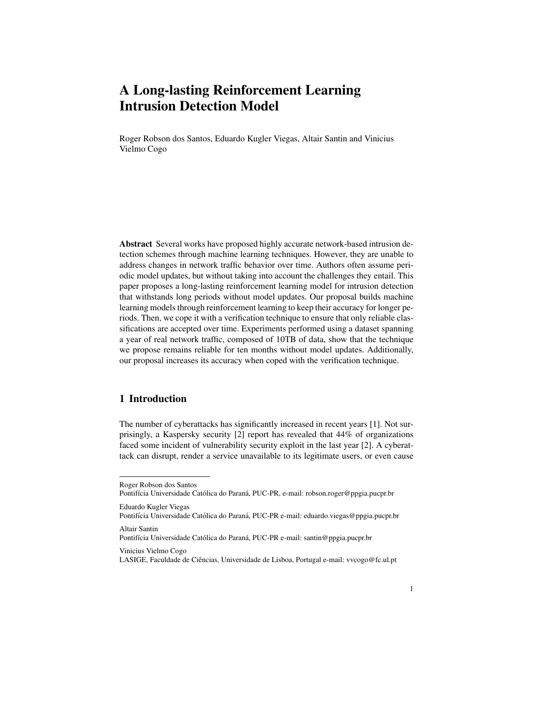# A Long-lasting Reinforcement Learning Intrusion Detection Model

Roger Robson dos Santos, Eduardo Kugler Viegas, Altair Santin and Vinicius Vielmo Cogo

Abstract Several works have proposed highly accurate network-based intrusion detection schemes through machine learning techniques. However, they are unable to address changes in network traffic behavior over time. Authors often assume periodic model updates, but without taking into account the challenges they entail. This paper proposes a long-lasting reinforcement learning model for intrusion detection that withstands long periods without model updates. Our proposal builds machine learning models through reinforcement learning to keep their accuracy for longer periods. Then, we cope it with a verification technique to ensure that only reliable classifications are accepted over time. Experiments performed using a dataset spanning a year of real network traffic, composed of 10TB of data, show that the technique we propose remains reliable for ten months without model updates. Additionally, our proposal increases its accuracy when coped with the verification technique.

# 1 Introduction

The number of cyberattacks has significantly increased in recent years [1]. Not surprisingly, a Kaspersky security [2] report has revealed that 44% of organizations faced some incident of vulnerability security exploit in the last year [2]. A cyberattack can disrupt, render a service unavailable to its legitimate users, or even cause

Vinicius Vielmo Cogo

Roger Robson dos Santos

Pontifícia Universidade Católica do Paraná, PUC-PR, e-mail: robson.roger@ppgia.pucpr.br

Eduardo Kugler Viegas

Pontifícia Universidade Católica do Paraná, PUC-PR e-mail: eduardo.viegas@ppgia.pucpr.br Altair Santin

Pontifícia Universidade Católica do Paraná, PUC-PR e-mail: santin@ppgia.pucpr.br

LASIGE, Faculdade de Ciências, Universidade de Lisboa, Portugal e-mail: vvcogo@fc.ul.pt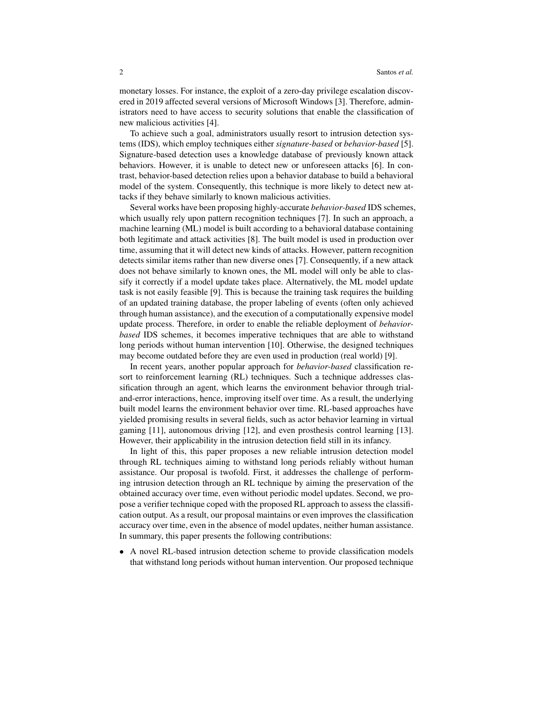monetary losses. For instance, the exploit of a zero-day privilege escalation discovered in 2019 affected several versions of Microsoft Windows [3]. Therefore, administrators need to have access to security solutions that enable the classification of new malicious activities [4].

To achieve such a goal, administrators usually resort to intrusion detection systems (IDS), which employ techniques either *signature-based* or *behavior-based* [5]. Signature-based detection uses a knowledge database of previously known attack behaviors. However, it is unable to detect new or unforeseen attacks [6]. In contrast, behavior-based detection relies upon a behavior database to build a behavioral model of the system. Consequently, this technique is more likely to detect new attacks if they behave similarly to known malicious activities.

Several works have been proposing highly-accurate *behavior-based* IDS schemes, which usually rely upon pattern recognition techniques [7]. In such an approach, a machine learning (ML) model is built according to a behavioral database containing both legitimate and attack activities [8]. The built model is used in production over time, assuming that it will detect new kinds of attacks. However, pattern recognition detects similar items rather than new diverse ones [7]. Consequently, if a new attack does not behave similarly to known ones, the ML model will only be able to classify it correctly if a model update takes place. Alternatively, the ML model update task is not easily feasible [9]. This is because the training task requires the building of an updated training database, the proper labeling of events (often only achieved through human assistance), and the execution of a computationally expensive model update process. Therefore, in order to enable the reliable deployment of *behaviorbased* IDS schemes, it becomes imperative techniques that are able to withstand long periods without human intervention [10]. Otherwise, the designed techniques may become outdated before they are even used in production (real world) [9].

In recent years, another popular approach for *behavior-based* classification resort to reinforcement learning (RL) techniques. Such a technique addresses classification through an agent, which learns the environment behavior through trialand-error interactions, hence, improving itself over time. As a result, the underlying built model learns the environment behavior over time. RL-based approaches have yielded promising results in several fields, such as actor behavior learning in virtual gaming [11], autonomous driving [12], and even prosthesis control learning [13]. However, their applicability in the intrusion detection field still in its infancy.

In light of this, this paper proposes a new reliable intrusion detection model through RL techniques aiming to withstand long periods reliably without human assistance. Our proposal is twofold. First, it addresses the challenge of performing intrusion detection through an RL technique by aiming the preservation of the obtained accuracy over time, even without periodic model updates. Second, we propose a verifier technique coped with the proposed RL approach to assess the classification output. As a result, our proposal maintains or even improves the classification accuracy over time, even in the absence of model updates, neither human assistance. In summary, this paper presents the following contributions:

• A novel RL-based intrusion detection scheme to provide classification models that withstand long periods without human intervention. Our proposed technique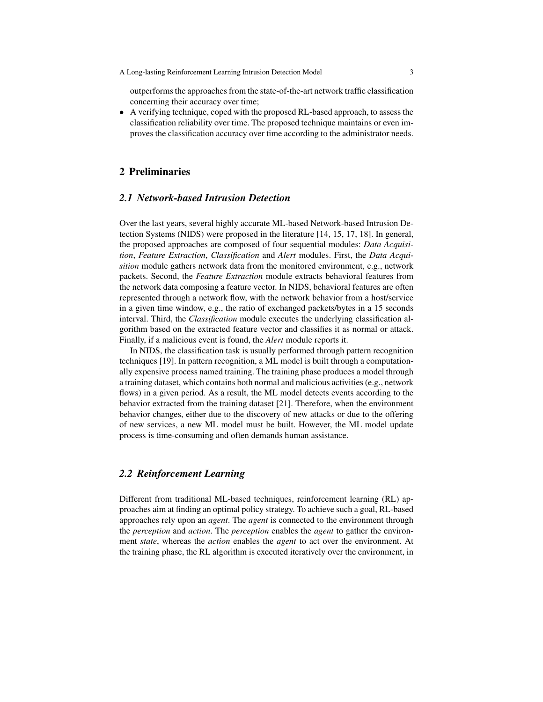outperforms the approaches from the state-of-the-art network traffic classification concerning their accuracy over time;

• A verifying technique, coped with the proposed RL-based approach, to assess the classification reliability over time. The proposed technique maintains or even improves the classification accuracy over time according to the administrator needs.

# 2 Preliminaries

## *2.1 Network-based Intrusion Detection*

Over the last years, several highly accurate ML-based Network-based Intrusion Detection Systems (NIDS) were proposed in the literature [14, 15, 17, 18]. In general, the proposed approaches are composed of four sequential modules: *Data Acquisition*, *Feature Extraction*, *Classification* and *Alert* modules. First, the *Data Acquisition* module gathers network data from the monitored environment, e.g., network packets. Second, the *Feature Extraction* module extracts behavioral features from the network data composing a feature vector. In NIDS, behavioral features are often represented through a network flow, with the network behavior from a host/service in a given time window, e.g., the ratio of exchanged packets/bytes in a 15 seconds interval. Third, the *Classification* module executes the underlying classification algorithm based on the extracted feature vector and classifies it as normal or attack. Finally, if a malicious event is found, the *Alert* module reports it.

In NIDS, the classification task is usually performed through pattern recognition techniques [19]. In pattern recognition, a ML model is built through a computationally expensive process named training. The training phase produces a model through a training dataset, which contains both normal and malicious activities (e.g., network flows) in a given period. As a result, the ML model detects events according to the behavior extracted from the training dataset [21]. Therefore, when the environment behavior changes, either due to the discovery of new attacks or due to the offering of new services, a new ML model must be built. However, the ML model update process is time-consuming and often demands human assistance.

## *2.2 Reinforcement Learning*

Different from traditional ML-based techniques, reinforcement learning (RL) approaches aim at finding an optimal policy strategy. To achieve such a goal, RL-based approaches rely upon an *agent*. The *agent* is connected to the environment through the *perception* and *action*. The *perception* enables the *agent* to gather the environment *state*, whereas the *action* enables the *agent* to act over the environment. At the training phase, the RL algorithm is executed iteratively over the environment, in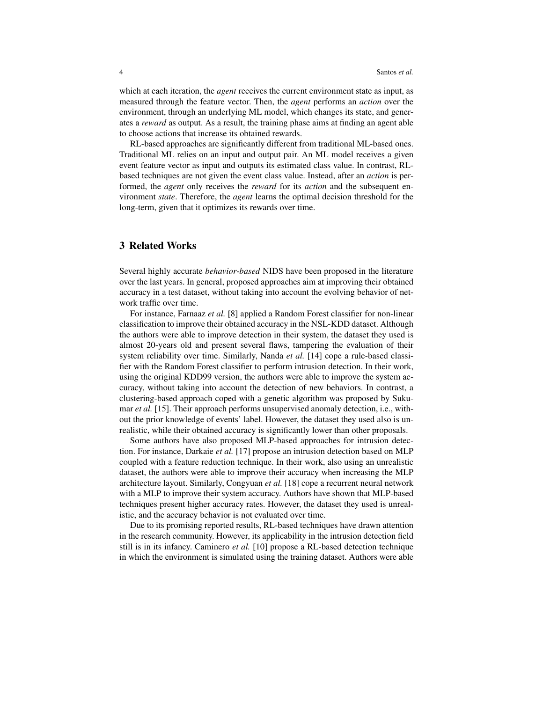which at each iteration, the *agent* receives the current environment state as input, as measured through the feature vector. Then, the *agent* performs an *action* over the environment, through an underlying ML model, which changes its state, and generates a *reward* as output. As a result, the training phase aims at finding an agent able to choose actions that increase its obtained rewards.

RL-based approaches are significantly different from traditional ML-based ones. Traditional ML relies on an input and output pair. An ML model receives a given event feature vector as input and outputs its estimated class value. In contrast, RLbased techniques are not given the event class value. Instead, after an *action* is performed, the *agent* only receives the *reward* for its *action* and the subsequent environment *state*. Therefore, the *agent* learns the optimal decision threshold for the long-term, given that it optimizes its rewards over time.

## 3 Related Works

Several highly accurate *behavior-based* NIDS have been proposed in the literature over the last years. In general, proposed approaches aim at improving their obtained accuracy in a test dataset, without taking into account the evolving behavior of network traffic over time.

For instance, Farnaaz *et al.* [8] applied a Random Forest classifier for non-linear classification to improve their obtained accuracy in the NSL-KDD dataset. Although the authors were able to improve detection in their system, the dataset they used is almost 20-years old and present several flaws, tampering the evaluation of their system reliability over time. Similarly, Nanda *et al.* [14] cope a rule-based classifier with the Random Forest classifier to perform intrusion detection. In their work, using the original KDD99 version, the authors were able to improve the system accuracy, without taking into account the detection of new behaviors. In contrast, a clustering-based approach coped with a genetic algorithm was proposed by Sukumar *et al.* [15]. Their approach performs unsupervised anomaly detection, i.e., without the prior knowledge of events' label. However, the dataset they used also is unrealistic, while their obtained accuracy is significantly lower than other proposals.

Some authors have also proposed MLP-based approaches for intrusion detection. For instance, Darkaie *et al.* [17] propose an intrusion detection based on MLP coupled with a feature reduction technique. In their work, also using an unrealistic dataset, the authors were able to improve their accuracy when increasing the MLP architecture layout. Similarly, Congyuan *et al.* [18] cope a recurrent neural network with a MLP to improve their system accuracy. Authors have shown that MLP-based techniques present higher accuracy rates. However, the dataset they used is unrealistic, and the accuracy behavior is not evaluated over time.

Due to its promising reported results, RL-based techniques have drawn attention in the research community. However, its applicability in the intrusion detection field still is in its infancy. Caminero *et al.* [10] propose a RL-based detection technique in which the environment is simulated using the training dataset. Authors were able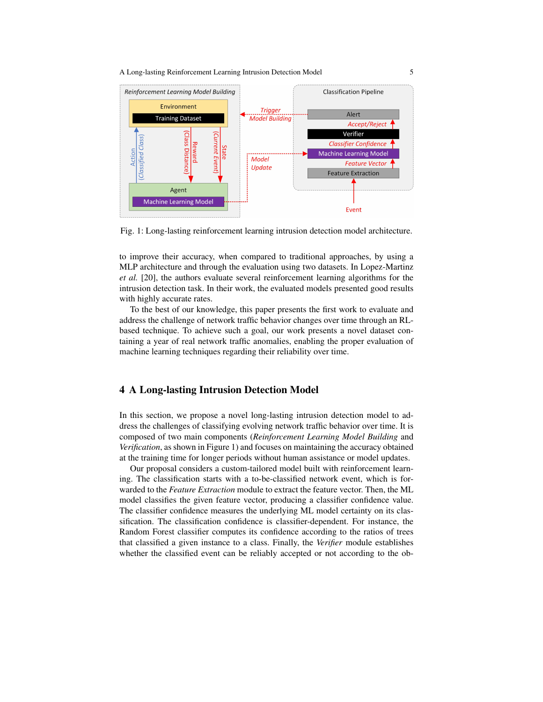A Long-lasting Reinforcement Learning Intrusion Detection Model 5



Fig. 1: Long-lasting reinforcement learning intrusion detection model architecture.

to improve their accuracy, when compared to traditional approaches, by using a MLP architecture and through the evaluation using two datasets. In Lopez-Martinz *et al.* [20], the authors evaluate several reinforcement learning algorithms for the intrusion detection task. In their work, the evaluated models presented good results with highly accurate rates.

To the best of our knowledge, this paper presents the first work to evaluate and address the challenge of network traffic behavior changes over time through an RLbased technique. To achieve such a goal, our work presents a novel dataset containing a year of real network traffic anomalies, enabling the proper evaluation of machine learning techniques regarding their reliability over time.

#### 4 A Long-lasting Intrusion Detection Model

In this section, we propose a novel long-lasting intrusion detection model to address the challenges of classifying evolving network traffic behavior over time. It is composed of two main components (*Reinforcement Learning Model Building* and *Verification*, as shown in Figure 1) and focuses on maintaining the accuracy obtained at the training time for longer periods without human assistance or model updates.

Our proposal considers a custom-tailored model built with reinforcement learning. The classification starts with a to-be-classified network event, which is forwarded to the *Feature Extraction* module to extract the feature vector. Then, the ML model classifies the given feature vector, producing a classifier confidence value. The classifier confidence measures the underlying ML model certainty on its classification. The classification confidence is classifier-dependent. For instance, the Random Forest classifier computes its confidence according to the ratios of trees that classified a given instance to a class. Finally, the *Verifier* module establishes whether the classified event can be reliably accepted or not according to the ob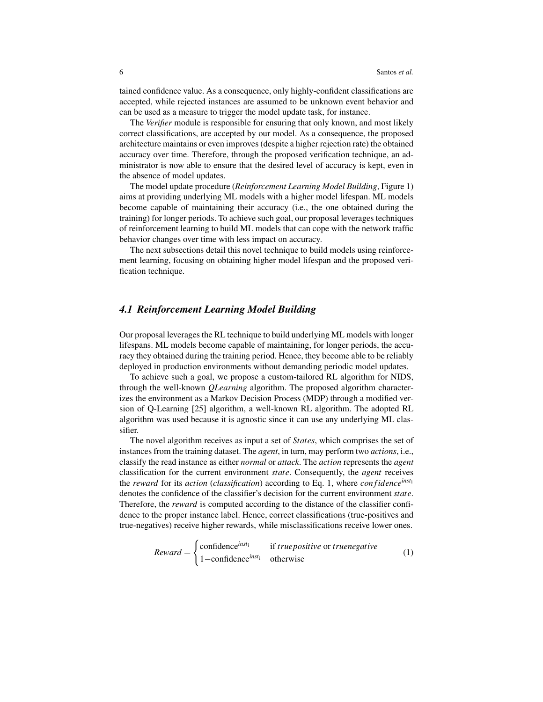tained confidence value. As a consequence, only highly-confident classifications are accepted, while rejected instances are assumed to be unknown event behavior and can be used as a measure to trigger the model update task, for instance.

The *Verifier* module is responsible for ensuring that only known, and most likely correct classifications, are accepted by our model. As a consequence, the proposed architecture maintains or even improves (despite a higher rejection rate) the obtained accuracy over time. Therefore, through the proposed verification technique, an administrator is now able to ensure that the desired level of accuracy is kept, even in the absence of model updates.

The model update procedure (*Reinforcement Learning Model Building*, Figure 1) aims at providing underlying ML models with a higher model lifespan. ML models become capable of maintaining their accuracy (i.e., the one obtained during the training) for longer periods. To achieve such goal, our proposal leverages techniques of reinforcement learning to build ML models that can cope with the network traffic behavior changes over time with less impact on accuracy.

The next subsections detail this novel technique to build models using reinforcement learning, focusing on obtaining higher model lifespan and the proposed verification technique.

## *4.1 Reinforcement Learning Model Building*

Our proposal leverages the RL technique to build underlying ML models with longer lifespans. ML models become capable of maintaining, for longer periods, the accuracy they obtained during the training period. Hence, they become able to be reliably deployed in production environments without demanding periodic model updates.

To achieve such a goal, we propose a custom-tailored RL algorithm for NIDS, through the well-known *QLearning* algorithm. The proposed algorithm characterizes the environment as a Markov Decision Process (MDP) through a modified version of Q-Learning [25] algorithm, a well-known RL algorithm. The adopted RL algorithm was used because it is agnostic since it can use any underlying ML classifier.

The novel algorithm receives as input a set of *States*, which comprises the set of instances from the training dataset. The *agent*, in turn, may perform two *actions*, i.e., classify the read instance as either *normal* or *attack*. The *action* represents the *agent* classification for the current environment *state*. Consequently, the *agent* receives the *reward* for its *action* (*classification*) according to Eq. 1, where *con fidenceinst*<sup>i</sup> denotes the confidence of the classifier's decision for the current environment *state*. Therefore, the *reward* is computed according to the distance of the classifier confidence to the proper instance label. Hence, correct classifications (true-positives and true-negatives) receive higher rewards, while misclassifications receive lower ones.

$$
Reward = \begin{cases} confidence^{inst_1} & \text{if true positive or true negative} \\ 1 - confidence^{inst_1} & \text{otherwise} \end{cases} \tag{1}
$$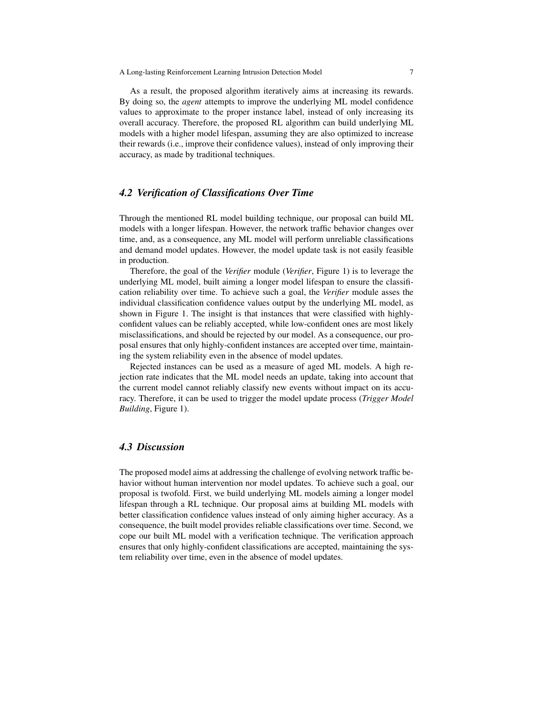As a result, the proposed algorithm iteratively aims at increasing its rewards. By doing so, the *agent* attempts to improve the underlying ML model confidence values to approximate to the proper instance label, instead of only increasing its overall accuracy. Therefore, the proposed RL algorithm can build underlying ML models with a higher model lifespan, assuming they are also optimized to increase their rewards (i.e., improve their confidence values), instead of only improving their accuracy, as made by traditional techniques.

#### *4.2 Verification of Classifications Over Time*

Through the mentioned RL model building technique, our proposal can build ML models with a longer lifespan. However, the network traffic behavior changes over time, and, as a consequence, any ML model will perform unreliable classifications and demand model updates. However, the model update task is not easily feasible in production.

Therefore, the goal of the *Verifier* module (*Verifier*, Figure 1) is to leverage the underlying ML model, built aiming a longer model lifespan to ensure the classification reliability over time. To achieve such a goal, the *Verifier* module asses the individual classification confidence values output by the underlying ML model, as shown in Figure 1. The insight is that instances that were classified with highlyconfident values can be reliably accepted, while low-confident ones are most likely misclassifications, and should be rejected by our model. As a consequence, our proposal ensures that only highly-confident instances are accepted over time, maintaining the system reliability even in the absence of model updates.

Rejected instances can be used as a measure of aged ML models. A high rejection rate indicates that the ML model needs an update, taking into account that the current model cannot reliably classify new events without impact on its accuracy. Therefore, it can be used to trigger the model update process (*Trigger Model Building*, Figure 1).

## *4.3 Discussion*

The proposed model aims at addressing the challenge of evolving network traffic behavior without human intervention nor model updates. To achieve such a goal, our proposal is twofold. First, we build underlying ML models aiming a longer model lifespan through a RL technique. Our proposal aims at building ML models with better classification confidence values instead of only aiming higher accuracy. As a consequence, the built model provides reliable classifications over time. Second, we cope our built ML model with a verification technique. The verification approach ensures that only highly-confident classifications are accepted, maintaining the system reliability over time, even in the absence of model updates.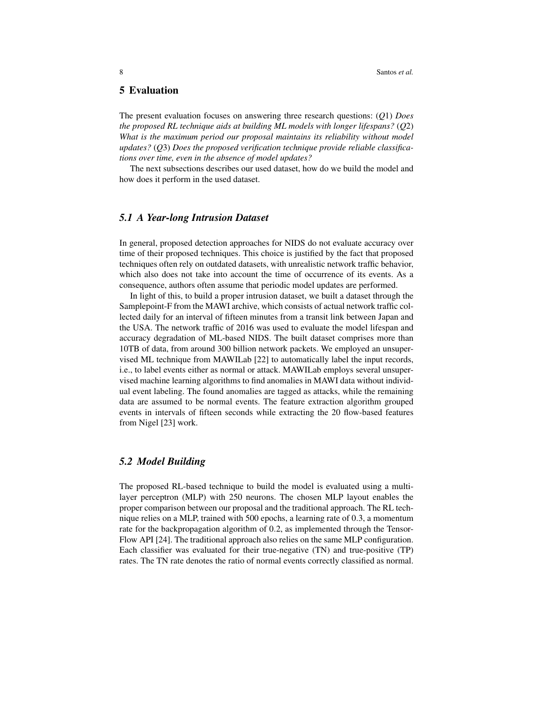#### 5 Evaluation

The present evaluation focuses on answering three research questions: (*Q*1) *Does the proposed RL technique aids at building ML models with longer lifespans?* (*Q*2) *What is the maximum period our proposal maintains its reliability without model updates?* (*Q*3) *Does the proposed verification technique provide reliable classifications over time, even in the absence of model updates?*

The next subsections describes our used dataset, how do we build the model and how does it perform in the used dataset.

## *5.1 A Year-long Intrusion Dataset*

In general, proposed detection approaches for NIDS do not evaluate accuracy over time of their proposed techniques. This choice is justified by the fact that proposed techniques often rely on outdated datasets, with unrealistic network traffic behavior, which also does not take into account the time of occurrence of its events. As a consequence, authors often assume that periodic model updates are performed.

In light of this, to build a proper intrusion dataset, we built a dataset through the Samplepoint-F from the MAWI archive, which consists of actual network traffic collected daily for an interval of fifteen minutes from a transit link between Japan and the USA. The network traffic of 2016 was used to evaluate the model lifespan and accuracy degradation of ML-based NIDS. The built dataset comprises more than 10TB of data, from around 300 billion network packets. We employed an unsupervised ML technique from MAWILab [22] to automatically label the input records, i.e., to label events either as normal or attack. MAWILab employs several unsupervised machine learning algorithms to find anomalies in MAWI data without individual event labeling. The found anomalies are tagged as attacks, while the remaining data are assumed to be normal events. The feature extraction algorithm grouped events in intervals of fifteen seconds while extracting the 20 flow-based features from Nigel [23] work.

#### *5.2 Model Building*

The proposed RL-based technique to build the model is evaluated using a multilayer perceptron (MLP) with 250 neurons. The chosen MLP layout enables the proper comparison between our proposal and the traditional approach. The RL technique relies on a MLP, trained with 500 epochs, a learning rate of 0.3, a momentum rate for the backpropagation algorithm of 0.2, as implemented through the Tensor-Flow API [24]. The traditional approach also relies on the same MLP configuration. Each classifier was evaluated for their true-negative (TN) and true-positive (TP) rates. The TN rate denotes the ratio of normal events correctly classified as normal.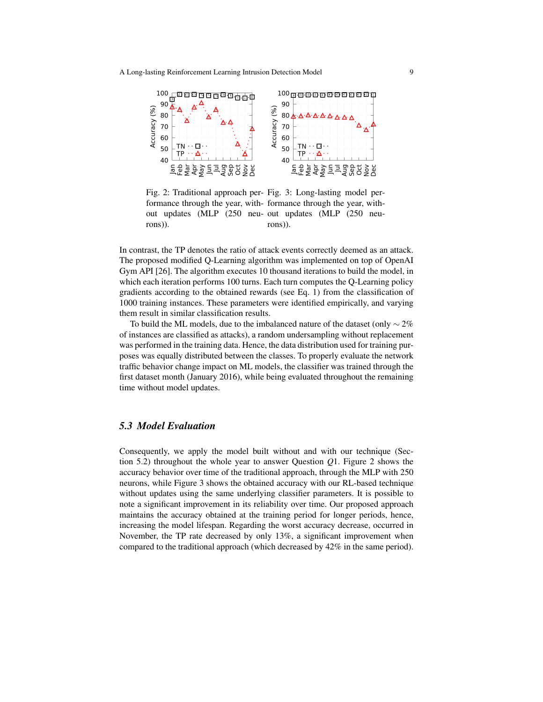

Fig. 2: Traditional approach per-Fig. 3: Long-lasting model performance through the year, with-formance through the year, without updates (MLP (250 neu-out updates (MLP (250 neurons)). rons)).

In contrast, the TP denotes the ratio of attack events correctly deemed as an attack. The proposed modified Q-Learning algorithm was implemented on top of OpenAI Gym API [26]. The algorithm executes 10 thousand iterations to build the model, in which each iteration performs 100 turns. Each turn computes the Q-Learning policy gradients according to the obtained rewards (see Eq. 1) from the classification of 1000 training instances. These parameters were identified empirically, and varying them result in similar classification results.

To build the ML models, due to the imbalanced nature of the dataset (only  $\sim$  2% of instances are classified as attacks), a random undersampling without replacement was performed in the training data. Hence, the data distribution used for training purposes was equally distributed between the classes. To properly evaluate the network traffic behavior change impact on ML models, the classifier was trained through the first dataset month (January 2016), while being evaluated throughout the remaining time without model updates.

# *5.3 Model Evaluation*

Consequently, we apply the model built without and with our technique (Section 5.2) throughout the whole year to answer Question *Q*1. Figure 2 shows the accuracy behavior over time of the traditional approach, through the MLP with 250 neurons, while Figure 3 shows the obtained accuracy with our RL-based technique without updates using the same underlying classifier parameters. It is possible to note a significant improvement in its reliability over time. Our proposed approach maintains the accuracy obtained at the training period for longer periods, hence, increasing the model lifespan. Regarding the worst accuracy decrease, occurred in November, the TP rate decreased by only 13%, a significant improvement when compared to the traditional approach (which decreased by 42% in the same period).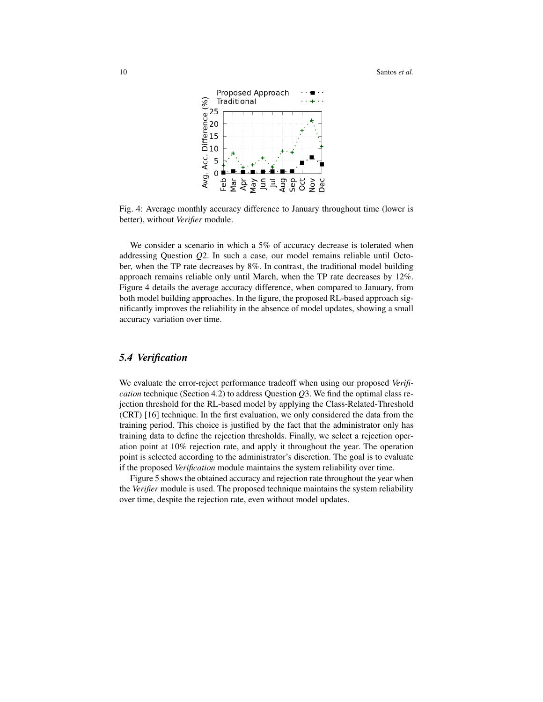

Fig. 4: Average monthly accuracy difference to January throughout time (lower is better), without *Verifier* module.

We consider a scenario in which a 5% of accuracy decrease is tolerated when addressing Question *Q*2. In such a case, our model remains reliable until October, when the TP rate decreases by 8%. In contrast, the traditional model building approach remains reliable only until March, when the TP rate decreases by 12%. Figure 4 details the average accuracy difference, when compared to January, from both model building approaches. In the figure, the proposed RL-based approach significantly improves the reliability in the absence of model updates, showing a small accuracy variation over time.

# *5.4 Verification*

We evaluate the error-reject performance tradeoff when using our proposed *Verification* technique (Section 4.2) to address Question *Q*3. We find the optimal class rejection threshold for the RL-based model by applying the Class-Related-Threshold (CRT) [16] technique. In the first evaluation, we only considered the data from the training period. This choice is justified by the fact that the administrator only has training data to define the rejection thresholds. Finally, we select a rejection operation point at 10% rejection rate, and apply it throughout the year. The operation point is selected according to the administrator's discretion. The goal is to evaluate if the proposed *Verification* module maintains the system reliability over time.

Figure 5 shows the obtained accuracy and rejection rate throughout the year when the *Verifier* module is used. The proposed technique maintains the system reliability over time, despite the rejection rate, even without model updates.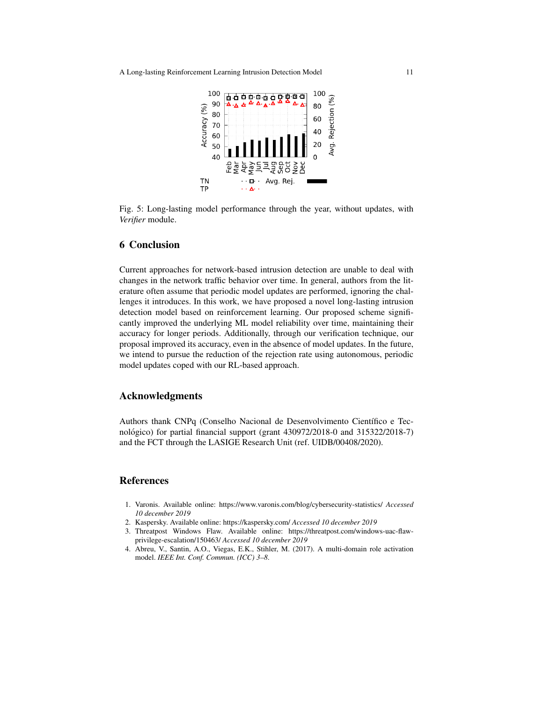A Long-lasting Reinforcement Learning Intrusion Detection Model 11



Fig. 5: Long-lasting model performance through the year, without updates, with *Verifier* module.

## 6 Conclusion

Current approaches for network-based intrusion detection are unable to deal with changes in the network traffic behavior over time. In general, authors from the literature often assume that periodic model updates are performed, ignoring the challenges it introduces. In this work, we have proposed a novel long-lasting intrusion detection model based on reinforcement learning. Our proposed scheme significantly improved the underlying ML model reliability over time, maintaining their accuracy for longer periods. Additionally, through our verification technique, our proposal improved its accuracy, even in the absence of model updates. In the future, we intend to pursue the reduction of the rejection rate using autonomous, periodic model updates coped with our RL-based approach.

#### Acknowledgments

Authors thank CNPq (Conselho Nacional de Desenvolvimento Científico e Tecnológico) for partial financial support (grant  $430972/2018-0$  and  $315322/2018-7$ ) and the FCT through the LASIGE Research Unit (ref. UIDB/00408/2020).

#### References

- 1. Varonis. Available online: https://www.varonis.com/blog/cybersecurity-statistics/ *Accessed 10 december 2019*
- 2. Kaspersky. Available online: https://kaspersky.com/ *Accessed 10 december 2019*
- 3. Threatpost Windows Flaw. Available online: https://threatpost.com/windows-uac-flawprivilege-escalation/150463/ *Accessed 10 december 2019*
- 4. Abreu, V., Santin, A.O., Viegas, E.K., Stihler, M. (2017). A multi-domain role activation model. *IEEE Int. Conf. Commun. (ICC) 3–8*.